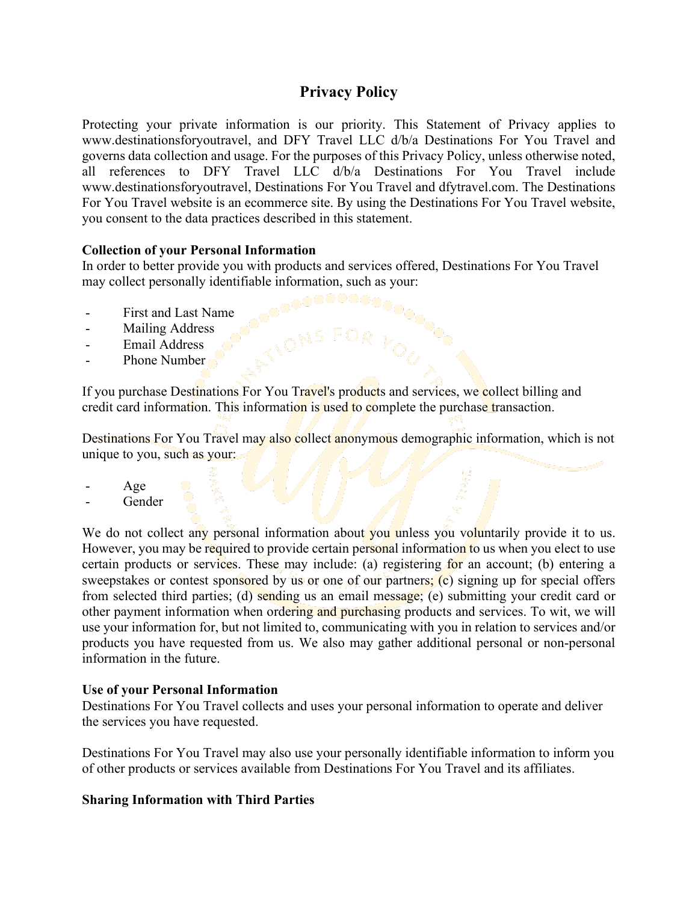# **Privacy Policy**

Protecting your private information is our priority. This Statement of Privacy applies to www.destinationsforyoutravel, and DFY Travel LLC d/b/a Destinations For You Travel and governs data collection and usage. For the purposes of this Privacy Policy, unless otherwise noted, all references to DFY Travel LLC d/b/a Destinations For You Travel include www.destinationsforyoutravel, Destinations For You Travel and dfytravel.com. The Destinations For You Travel website is an ecommerce site. By using the Destinations For You Travel website, you consent to the data practices described in this statement.

# **Collection of your Personal Information**

In order to better provide you with products and services offered, Destinations For You Travel may collect personally identifiable information, such as your:

- First and Last Name
- Mailing Address
- Email Address
- Phone Number

If you purchase Destinations For You Travel's products and services, we collect billing and credit card information. This information is used to complete the purchase transaction.

Destinations For You Travel may also collect anonymous demographic information, which is not unique to you, such as your:

- Age
- **Gender**

We do not collect any personal information about you unless you voluntarily provide it to us. However, you may be required to provide certain personal information to us when you elect to use certain products or services. These may include: (a) registering for an account; (b) entering a sweepstakes or contest sponsored by us or one of our partners; (c) signing up for special offers from selected third parties; (d) sending us an email message; (e) submitting your credit card or other payment information when ordering and purchasing products and services. To wit, we will use your information for, but not limited to, communicating with you in relation to services and/or products you have requested from us. We also may gather additional personal or non-personal information in the future.

# **Use of your Personal Information**

Destinations For You Travel collects and uses your personal information to operate and deliver the services you have requested.

Destinations For You Travel may also use your personally identifiable information to inform you of other products or services available from Destinations For You Travel and its affiliates.

# **Sharing Information with Third Parties**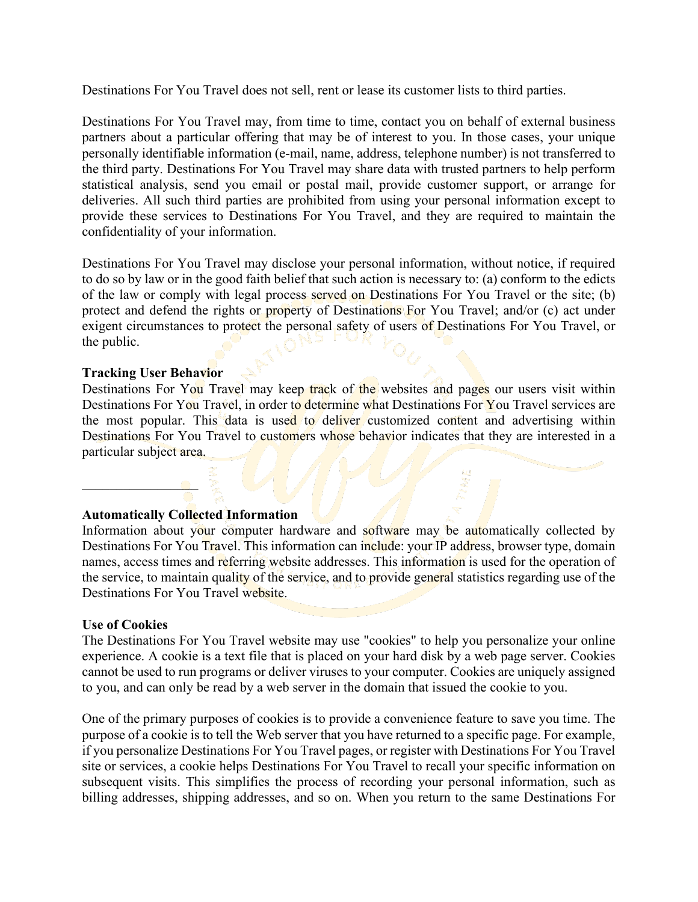Destinations For You Travel does not sell, rent or lease its customer lists to third parties.

Destinations For You Travel may, from time to time, contact you on behalf of external business partners about a particular offering that may be of interest to you. In those cases, your unique personally identifiable information (e-mail, name, address, telephone number) is not transferred to the third party. Destinations For You Travel may share data with trusted partners to help perform statistical analysis, send you email or postal mail, provide customer support, or arrange for deliveries. All such third parties are prohibited from using your personal information except to provide these services to Destinations For You Travel, and they are required to maintain the confidentiality of your information.

Destinations For You Travel may disclose your personal information, without notice, if required to do so by law or in the good faith belief that such action is necessary to: (a) conform to the edicts of the law or comply with legal process served on Destinations For You Travel or the site; (b) protect and defend the rights or property of Destinations For You Travel; and/or (c) act under exigent circumstances to protect the personal safety of users of Destinations For You Travel, or the public.

#### **Tracking User Behavior**

 $\Box$ 

Destinations For You Travel may keep track of the websites and pages our users visit within Destinations For You Travel, in order to determine what Destinations For You Travel services are the most popular. This data is used to deliver customized content and advertising within Destinations For You Travel to customers whose behavior indicates that they are interested in a particular subject area.

#### **Automatically Collected Information**

Information about your computer hardware and software may be automatically collected by Destinations For You Travel. This information can include: your IP address, browser type, domain names, access times and referring website addresses. This information is used for the operation of the service, to maintain quality of the service, and to provide general statistics regarding use of the Destinations For You Travel website.

#### **Use of Cookies**

The Destinations For You Travel website may use "cookies" to help you personalize your online experience. A cookie is a text file that is placed on your hard disk by a web page server. Cookies cannot be used to run programs or deliver viruses to your computer. Cookies are uniquely assigned to you, and can only be read by a web server in the domain that issued the cookie to you.

One of the primary purposes of cookies is to provide a convenience feature to save you time. The purpose of a cookie is to tell the Web server that you have returned to a specific page. For example, if you personalize Destinations For You Travel pages, or register with Destinations For You Travel site or services, a cookie helps Destinations For You Travel to recall your specific information on subsequent visits. This simplifies the process of recording your personal information, such as billing addresses, shipping addresses, and so on. When you return to the same Destinations For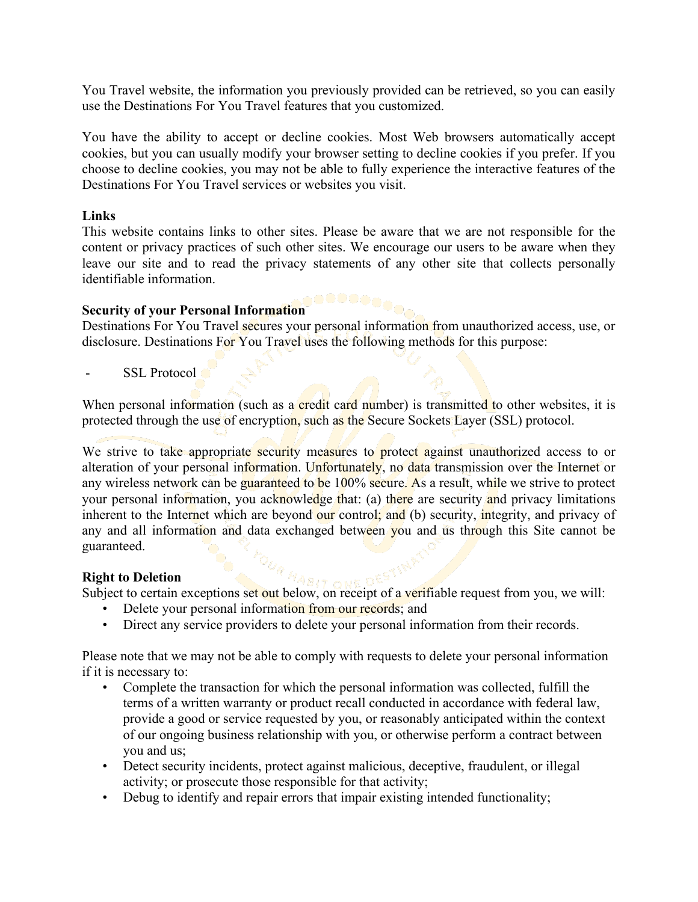You Travel website, the information you previously provided can be retrieved, so you can easily use the Destinations For You Travel features that you customized.

You have the ability to accept or decline cookies. Most Web browsers automatically accept cookies, but you can usually modify your browser setting to decline cookies if you prefer. If you choose to decline cookies, you may not be able to fully experience the interactive features of the Destinations For You Travel services or websites you visit.

### **Links**

This website contains links to other sites. Please be aware that we are not responsible for the content or privacy practices of such other sites. We encourage our users to be aware when they leave our site and to read the privacy statements of any other site that collects personally identifiable information.

#### **Security of your Personal Information**

Destinations For You Travel secures your personal information from unauthorized access, use, or disclosure. Destinations For You Travel uses the following methods for this purpose:

SSL Protocol

When personal information (such as a credit card number) is transmitted to other websites, it is protected through the use of encryption, such as the Secure Sockets Layer (SSL) protocol.

We strive to take appropriate security measures to protect against unauthorized access to or alteration of your personal information. Unfortunately, no data transmission over the Internet or any wireless network can be guaranteed to be 100% secure. As a result, while we strive to protect your personal information, you acknowledge that: (a) there are security and privacy limitations inherent to the Internet which are beyond our control; and (b) security, integrity, and privacy of any and all information and data exchanged between you and us through this Site cannot be guaranteed.

# **Right to Deletion**

Subject to Deletion<br>Subject to certain exceptions set out below, on receipt of a verifiable request from you, we will:

- Delete your personal information from our records; and
- Direct any service providers to delete your personal information from their records.

Please note that we may not be able to comply with requests to delete your personal information if it is necessary to:

- Complete the transaction for which the personal information was collected, fulfill the terms of a written warranty or product recall conducted in accordance with federal law, provide a good or service requested by you, or reasonably anticipated within the context of our ongoing business relationship with you, or otherwise perform a contract between you and us;
- Detect security incidents, protect against malicious, deceptive, fraudulent, or illegal activity; or prosecute those responsible for that activity;
- Debug to identify and repair errors that impair existing intended functionality;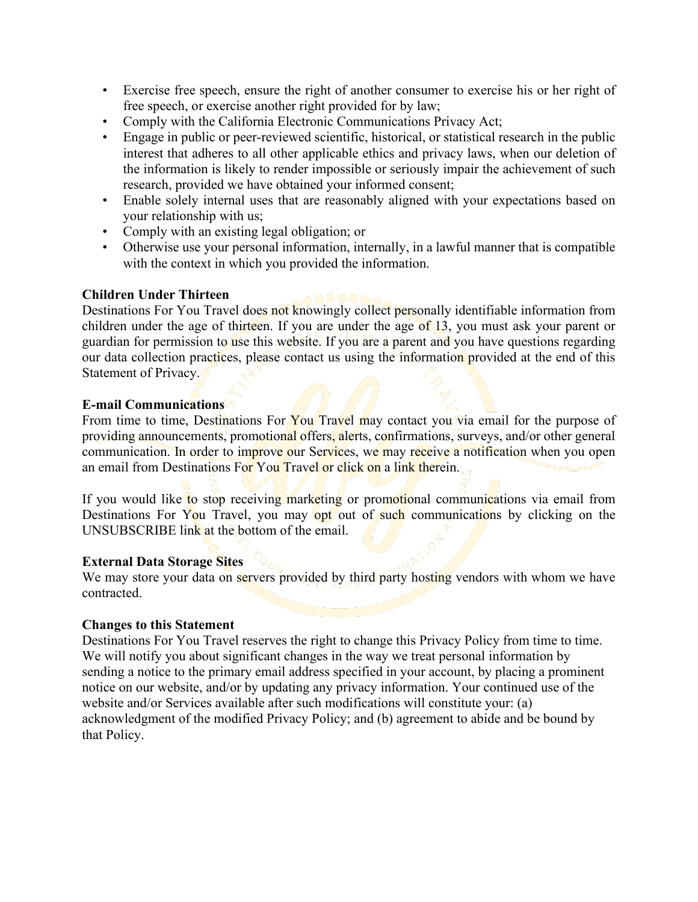- Exercise free speech, ensure the right of another consumer to exercise his or her right of free speech, or exercise another right provided for by law;
- Comply with the California Electronic Communications Privacy Act;
- Engage in public or peer-reviewed scientific, historical, or statistical research in the public interest that adheres to all other applicable ethics and privacy laws, when our deletion of the information is likely to render impossible or seriously impair the achievement of such research, provided we have obtained your informed consent;
- Enable solely internal uses that are reasonably aligned with your expectations based on your relationship with us;
- Comply with an existing legal obligation; or
- Otherwise use your personal information, internally, in a lawful manner that is compatible with the context in which you provided the information.

# **Children Under Thirteen**

Destinations For You Travel does not knowingly collect personally identifiable information from children under the age of thirteen. If you are under the age of 13, you must ask your parent or guardian for permission to use this website. If you are a parent and you have questions regarding our data collection practices, please contact us using the information provided at the end of this Statement of Privacy.

# **E-mail Communications**

From time to time, Destinations For You Travel may contact you via email for the purpose of providing announcements, promotional offers, alerts, confirmations, surveys, and/or other general communication. In order to improve our Services, we may receive a notification when you open an email from Destinations For You Travel or click on a link therein.

If you would like to stop receiving marketing or promotional communications via email from Destinations For You Travel, you may opt out of such communications by clicking on the UNSUBSCRIBE link at the bottom of the email.

# **External Data Storage Sites**

We may store your data on servers provided by third party hosting vendors with whom we have contracted.

# **Changes to this Statement**

Destinations For You Travel reserves the right to change this Privacy Policy from time to time. We will notify you about significant changes in the way we treat personal information by sending a notice to the primary email address specified in your account, by placing a prominent notice on our website, and/or by updating any privacy information. Your continued use of the website and/or Services available after such modifications will constitute your: (a) acknowledgment of the modified Privacy Policy; and (b) agreement to abide and be bound by that Policy.